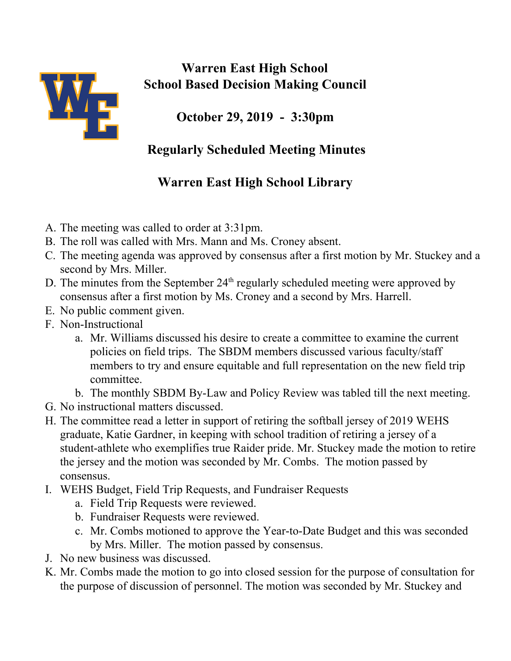

## **Warren East High School School Based Decision Making Council**

**October 29, 2019 - 3:30pm**

## **Regularly Scheduled Meeting Minutes**

## **Warren East High School Library**

- A. The meeting was called to order at 3:31pm.
- B. The roll was called with Mrs. Mann and Ms. Croney absent.
- C. The meeting agenda was approved by consensus after a first motion by Mr. Stuckey and a second by Mrs. Miller.
- D. The minutes from the September 24<sup>th</sup> regularly scheduled meeting were approved by consensus after a first motion by Ms. Croney and a second by Mrs. Harrell.
- E. No public comment given.
- F. Non-Instructional
	- a. Mr. Williams discussed his desire to create a committee to examine the current policies on field trips. The SBDM members discussed various faculty/staff members to try and ensure equitable and full representation on the new field trip committee.
	- b. The monthly SBDM By-Law and Policy Review was tabled till the next meeting.
- G. No instructional matters discussed.
- H. The committee read a letter in support of retiring the softball jersey of 2019 WEHS graduate, Katie Gardner, in keeping with school tradition of retiring a jersey of a student-athlete who exemplifies true Raider pride. Mr. Stuckey made the motion to retire the jersey and the motion was seconded by Mr. Combs. The motion passed by consensus.
- I. WEHS Budget, Field Trip Requests, and Fundraiser Requests
	- a. Field Trip Requests were reviewed.
	- b. Fundraiser Requests were reviewed.
	- c. Mr. Combs motioned to approve the Year-to-Date Budget and this was seconded by Mrs. Miller. The motion passed by consensus.
- J. No new business was discussed.
- K. Mr. Combs made the motion to go into closed session for the purpose of consultation for the purpose of discussion of personnel. The motion was seconded by Mr. Stuckey and